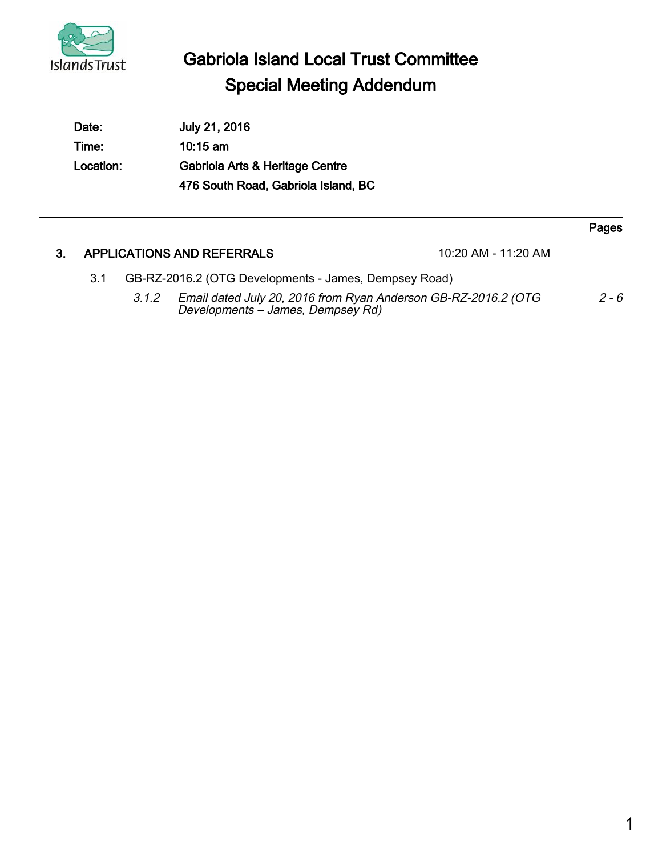

 $\overline{a}$ 

## Gabriola Island Local Trust Committee Special Meeting Addendum

| Date:     | July 21, 2016                       |
|-----------|-------------------------------------|
| Time:     | $10:15$ am                          |
| Location: | Gabriola Arts & Heritage Centre     |
|           | 476 South Road, Gabriola Island, BC |

|    |                                                              |       |                                                                                                     |                       | Pages   |
|----|--------------------------------------------------------------|-------|-----------------------------------------------------------------------------------------------------|-----------------------|---------|
| 3. |                                                              |       | APPLICATIONS AND REFERRALS                                                                          | $10:20$ AM - 11:20 AM |         |
|    | GB-RZ-2016.2 (OTG Developments - James, Dempsey Road)<br>3.1 |       |                                                                                                     |                       |         |
|    |                                                              | 3.1.2 | Email dated July 20, 2016 from Ryan Anderson GB-RZ-2016.2 (OTG<br>Developments - James, Dempsey Rd) |                       | $2 - 6$ |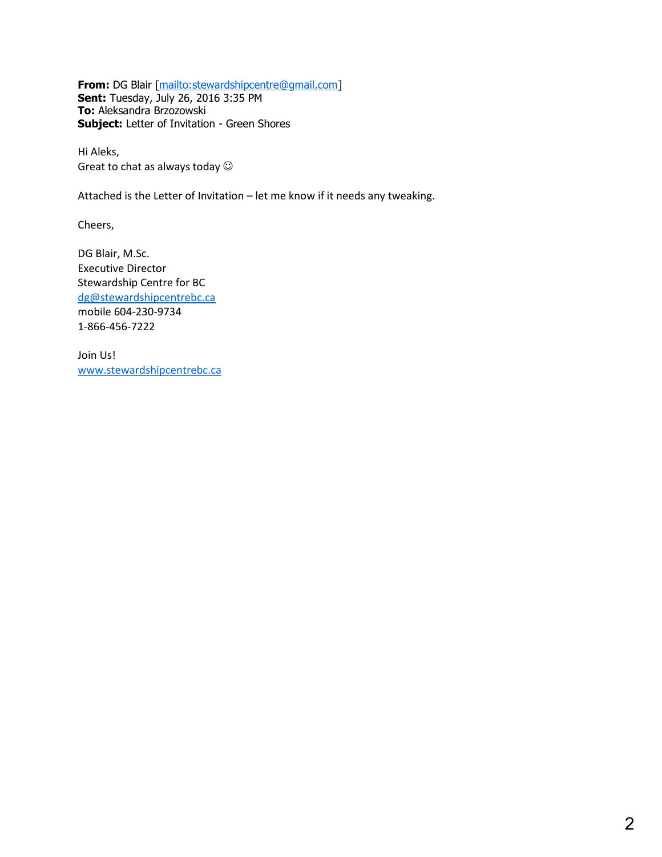**From:** DG Blair [\[mailto:stewardshipcentre@gmail.com\]](mailto:stewardshipcentre@gmail.com) **Sent:** Tuesday, July 26, 2016 3:35 PM **To:** Aleksandra Brzozowski **Subject:** Letter of Invitation - Green Shores

Hi Aleks, Great to chat as always today  $\odot$ 

Attached is the Letter of Invitation – let me know if it needs any tweaking.

Cheers,

DG Blair, M.Sc. Executive Director Stewardship Centre for BC [dg@stewardshipcentrebc.ca](mailto:dg@stewardshipcentrebc.ca) mobile 604-230-9734 1-866-456-7222

Join Us! [www.stewardshipcentrebc.ca](http://www.stewardshipcentrebc.ca/)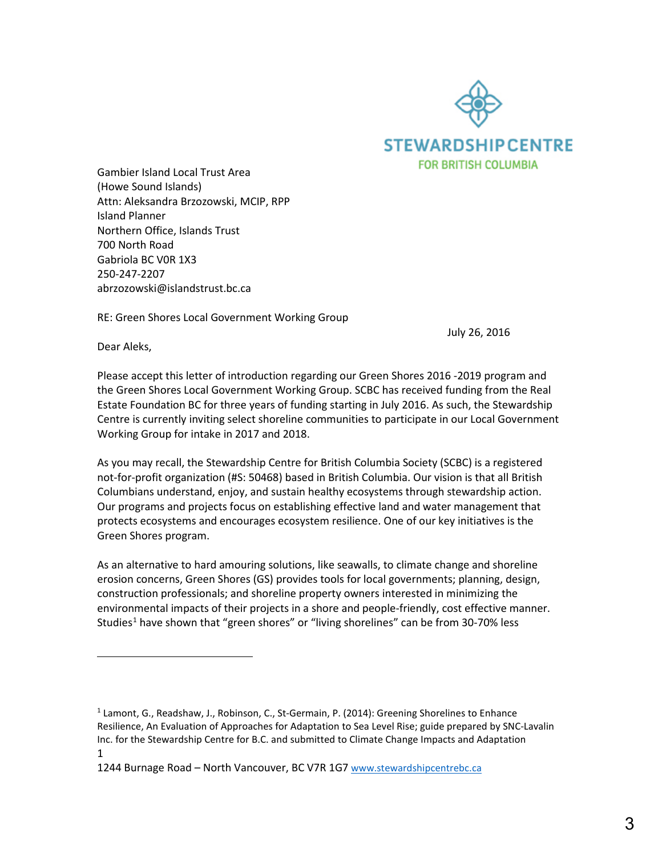

Gambier Island Local Trust Area (Howe Sound Islands) Attn: Aleksandra Brzozowski, MCIP, RPP Island Planner Northern Office, Islands Trust 700 North Road Gabriola BC V0R 1X3 250-247-2207 abrzozowski@islandstrust.bc.ca

RE: Green Shores Local Government Working Group

July 26, 2016

Dear Aleks,

l

Please accept this letter of introduction regarding our Green Shores 2016 -2019 program and the Green Shores Local Government Working Group. SCBC has received funding from the Real Estate Foundation BC for three years of funding starting in July 2016. As such, the Stewardship Centre is currently inviting select shoreline communities to participate in our Local Government Working Group for intake in 2017 and 2018.

As you may recall, the Stewardship Centre for British Columbia Society (SCBC) is a registered not-for-profit organization (#S: 50468) based in British Columbia. Our vision is that all British Columbians understand, enjoy, and sustain healthy ecosystems through stewardship action. Our programs and projects focus on establishing effective land and water management that protects ecosystems and encourages ecosystem resilience. One of our key initiatives is the Green Shores program.

As an alternative to hard amouring solutions, like seawalls, to climate change and shoreline erosion concerns, Green Shores (GS) provides tools for local governments; planning, design, construction professionals; and shoreline property owners interested in minimizing the environmental impacts of their projects in a shore and people-friendly, cost effective manner. Studies<sup>1</sup> have shown that "green shores" or "living shorelines" can be from 30-70% less

<sup>1</sup> <sup>1</sup> Lamont, G., Readshaw, J., Robinson, C., St-Germain, P. (2014): Greening Shorelines to Enhance Resilience, An Evaluation of Approaches for Adaptation to Sea Level Rise; guide prepared by SNC-Lavalin Inc. for the Stewardship Centre for B.C. and submitted to Climate Change Impacts and Adaptation

<sup>1244</sup> Burnage Road - North Vancouver, BC V7R 1G[7 www.stewardshipcentrebc.ca](http://www.stewardshipcentrebc.ca/)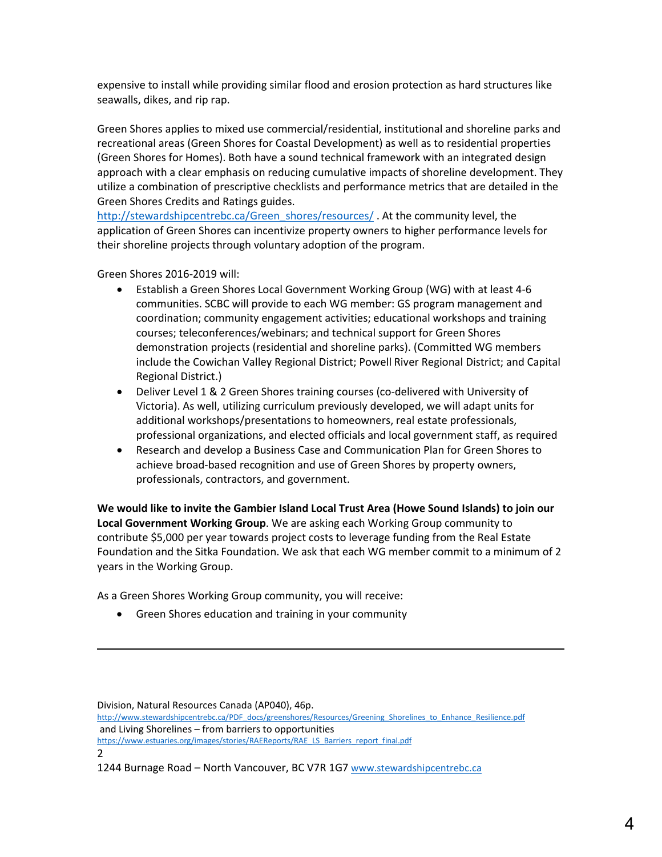expensive to install while providing similar flood and erosion protection as hard structures like seawalls, dikes, and rip rap.

Green Shores applies to mixed use commercial/residential, institutional and shoreline parks and recreational areas (Green Shores for Coastal Development) as well as to residential properties (Green Shores for Homes). Both have a sound technical framework with an integrated design approach with a clear emphasis on reducing cumulative impacts of shoreline development. They utilize a combination of prescriptive checklists and performance metrics that are detailed in the Green Shores Credits and Ratings guides.

[http://stewardshipcentrebc.ca/Green\\_shores/resources/](http://stewardshipcentrebc.ca/Green_shores/resources/) . At the community level, the application of Green Shores can incentivize property owners to higher performance levels for their shoreline projects through voluntary adoption of the program.

Green Shores 2016-2019 will:

 $\overline{\phantom{a}}$ 

- Establish a Green Shores Local Government Working Group (WG) with at least 4-6 communities. SCBC will provide to each WG member: GS program management and coordination; community engagement activities; educational workshops and training courses; teleconferences/webinars; and technical support for Green Shores demonstration projects (residential and shoreline parks). (Committed WG members include the Cowichan Valley Regional District; Powell River Regional District; and Capital Regional District.)
- Deliver Level 1 & 2 Green Shores training courses (co-delivered with University of Victoria). As well, utilizing curriculum previously developed, we will adapt units for additional workshops/presentations to homeowners, real estate professionals, professional organizations, and elected officials and local government staff, as required
- Research and develop a Business Case and Communication Plan for Green Shores to achieve broad-based recognition and use of Green Shores by property owners, professionals, contractors, and government.

**We would like to invite the Gambier Island Local Trust Area (Howe Sound Islands) to join our Local Government Working Group**. We are asking each Working Group community to contribute \$5,000 per year towards project costs to leverage funding from the Real Estate Foundation and the Sitka Foundation. We ask that each WG member commit to a minimum of 2 years in the Working Group.

As a Green Shores Working Group community, you will receive:

• Green Shores education and training in your community

1244 Burnage Road - North Vancouver, BC V7R 1G[7 www.stewardshipcentrebc.ca](http://www.stewardshipcentrebc.ca/)

<sup>2</sup> Division, Natural Resources Canada (AP040), 46p. [http://www.stewardshipcentrebc.ca/PDF\\_docs/greenshores/Resources/Greening\\_Shorelines\\_to\\_Enhance\\_Resilience.pdf](http://www.stewardshipcentrebc.ca/PDF_docs/greenshores/Resources/Greening_Shorelines_to_Enhance_Resilience.pdf) and Living Shorelines – from barriers to opportunities [https://www.estuaries.org/images/stories/RAEReports/RAE\\_LS\\_Barriers\\_report\\_final.pdf](https://www.estuaries.org/images/stories/RAEReports/RAE_LS_Barriers_report_final.pdf)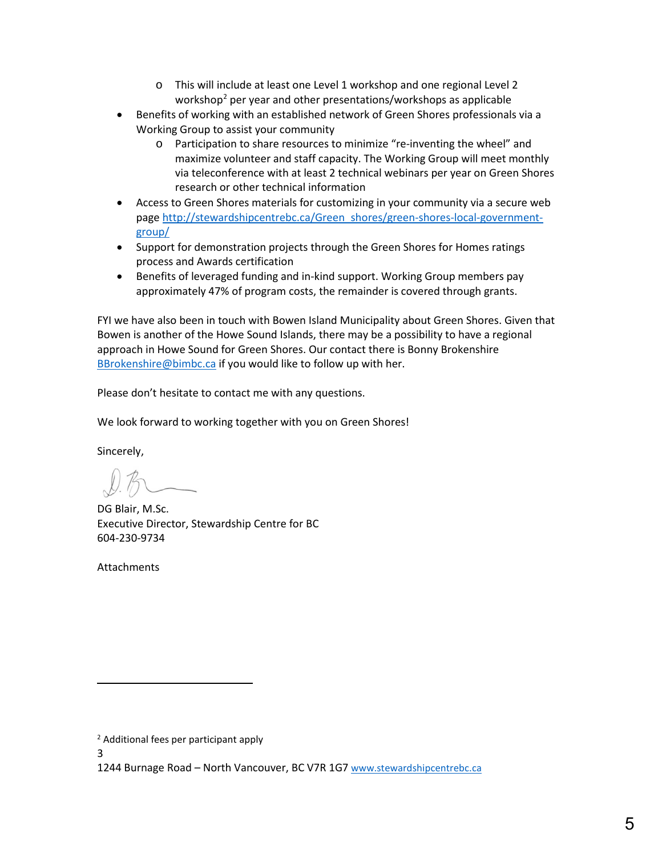- o This will include at least one Level 1 workshop and one regional Level 2 workshop<sup>2</sup> per year and other presentations/workshops as applicable
- Benefits of working with an established network of Green Shores professionals via a Working Group to assist your community
	- o Participation to share resources to minimize "re-inventing the wheel" and maximize volunteer and staff capacity. The Working Group will meet monthly via teleconference with at least 2 technical webinars per year on Green Shores research or other technical information
- Access to Green Shores materials for customizing in your community via a secure web page [http://stewardshipcentrebc.ca/Green\\_shores/green-shores-local-government](http://stewardshipcentrebc.ca/Green_shores/green-shores-local-government-group/)[group/](http://stewardshipcentrebc.ca/Green_shores/green-shores-local-government-group/)
- Support for demonstration projects through the Green Shores for Homes ratings process and Awards certification
- Benefits of leveraged funding and in-kind support. Working Group members pay approximately 47% of program costs, the remainder is covered through grants.

FYI we have also been in touch with Bowen Island Municipality about Green Shores. Given that Bowen is another of the Howe Sound Islands, there may be a possibility to have a regional approach in Howe Sound for Green Shores. Our contact there is Bonny Brokenshire [BBrokenshire@bimbc.ca](mailto:BBrokenshire@bimbc.ca) if you would like to follow up with her.

Please don't hesitate to contact me with any questions.

We look forward to working together with you on Green Shores!

Sincerely,

DG Blair, M.Sc. Executive Director, Stewardship Centre for BC 604-230-9734

Attachments

3

l

<sup>2</sup> Additional fees per participant apply

<sup>1244</sup> Burnage Road - North Vancouver, BC V7R 1G[7 www.stewardshipcentrebc.ca](http://www.stewardshipcentrebc.ca/)